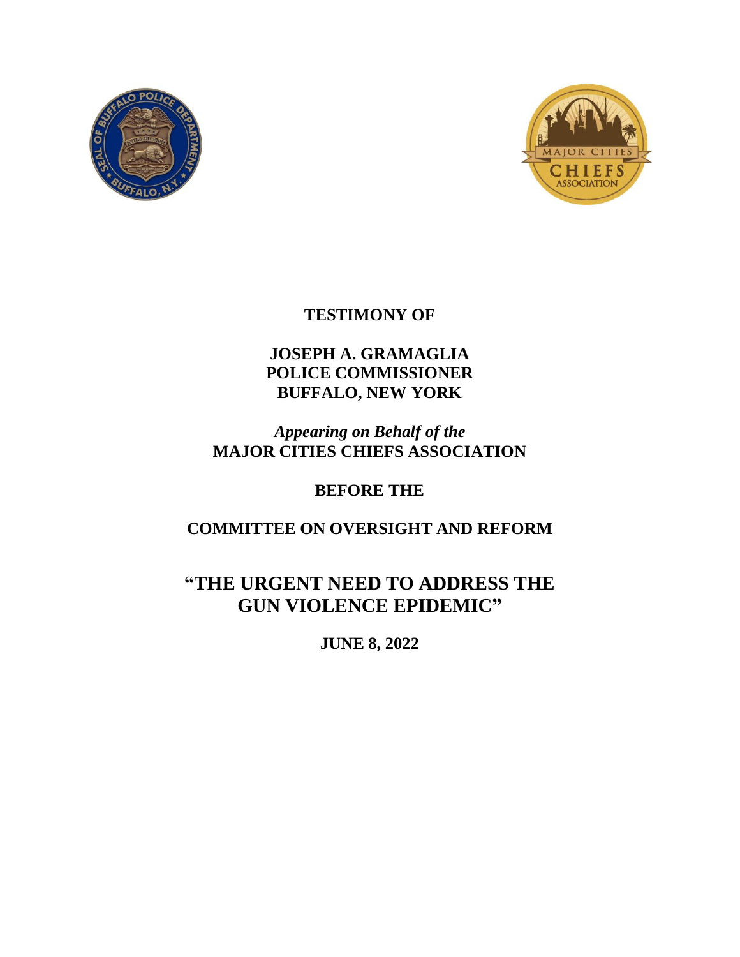



# **TESTIMONY OF**

# **JOSEPH A. GRAMAGLIA POLICE COMMISSIONER BUFFALO, NEW YORK**

# *Appearing on Behalf of the* **MAJOR CITIES CHIEFS ASSOCIATION**

# **BEFORE THE**

# **COMMITTEE ON OVERSIGHT AND REFORM**

# **"THE URGENT NEED TO ADDRESS THE GUN VIOLENCE EPIDEMIC"**

**JUNE 8, 2022**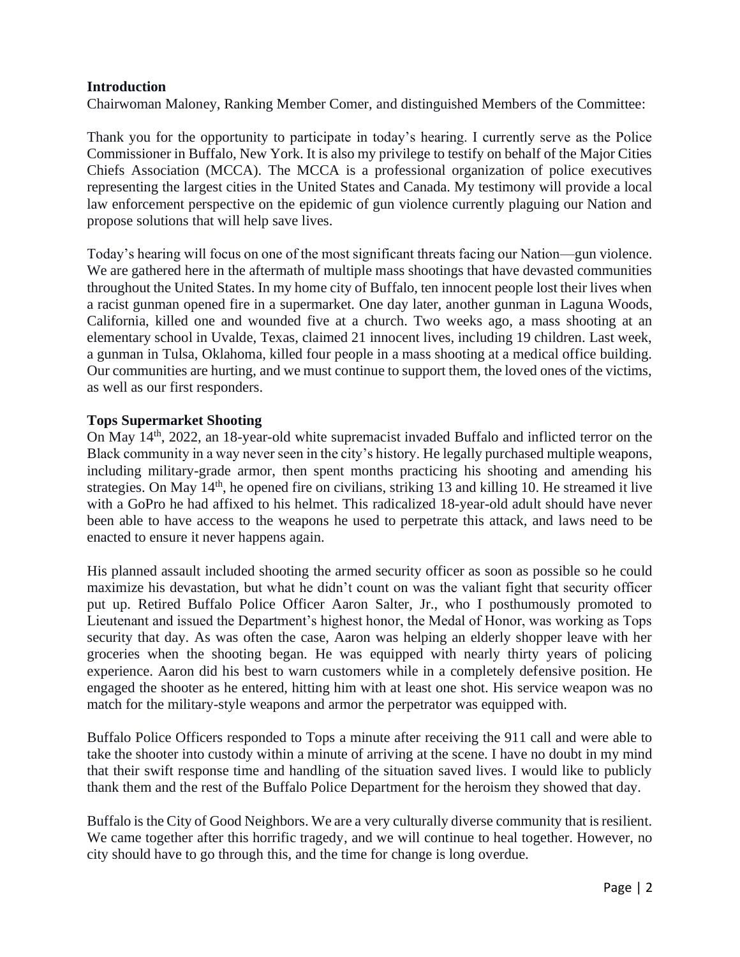## **Introduction**

Chairwoman Maloney, Ranking Member Comer, and distinguished Members of the Committee:

Thank you for the opportunity to participate in today's hearing. I currently serve as the Police Commissioner in Buffalo, New York. It is also my privilege to testify on behalf of the Major Cities Chiefs Association (MCCA). The MCCA is a professional organization of police executives representing the largest cities in the United States and Canada. My testimony will provide a local law enforcement perspective on the epidemic of gun violence currently plaguing our Nation and propose solutions that will help save lives.

Today's hearing will focus on one of the most significant threats facing our Nation—gun violence. We are gathered here in the aftermath of multiple mass shootings that have devasted communities throughout the United States. In my home city of Buffalo, ten innocent people lost their lives when a racist gunman opened fire in a supermarket. One day later, another gunman in Laguna Woods, California, killed one and wounded five at a church. Two weeks ago, a mass shooting at an elementary school in Uvalde, Texas, claimed 21 innocent lives, including 19 children. Last week, a gunman in Tulsa, Oklahoma, killed four people in a mass shooting at a medical office building. Our communities are hurting, and we must continue to support them, the loved ones of the victims, as well as our first responders.

#### **Tops Supermarket Shooting**

On May 14th, 2022, an 18-year-old white supremacist invaded Buffalo and inflicted terror on the Black community in a way never seen in the city's history. He legally purchased multiple weapons, including military-grade armor, then spent months practicing his shooting and amending his strategies. On May 14<sup>th</sup>, he opened fire on civilians, striking 13 and killing 10. He streamed it live with a GoPro he had affixed to his helmet. This radicalized 18-year-old adult should have never been able to have access to the weapons he used to perpetrate this attack, and laws need to be enacted to ensure it never happens again.

His planned assault included shooting the armed security officer as soon as possible so he could maximize his devastation, but what he didn't count on was the valiant fight that security officer put up. Retired Buffalo Police Officer Aaron Salter, Jr., who I posthumously promoted to Lieutenant and issued the Department's highest honor, the Medal of Honor, was working as Tops security that day. As was often the case, Aaron was helping an elderly shopper leave with her groceries when the shooting began. He was equipped with nearly thirty years of policing experience. Aaron did his best to warn customers while in a completely defensive position. He engaged the shooter as he entered, hitting him with at least one shot. His service weapon was no match for the military-style weapons and armor the perpetrator was equipped with.

Buffalo Police Officers responded to Tops a minute after receiving the 911 call and were able to take the shooter into custody within a minute of arriving at the scene. I have no doubt in my mind that their swift response time and handling of the situation saved lives. I would like to publicly thank them and the rest of the Buffalo Police Department for the heroism they showed that day.

Buffalo is the City of Good Neighbors. We are a very culturally diverse community that is resilient. We came together after this horrific tragedy, and we will continue to heal together. However, no city should have to go through this, and the time for change is long overdue.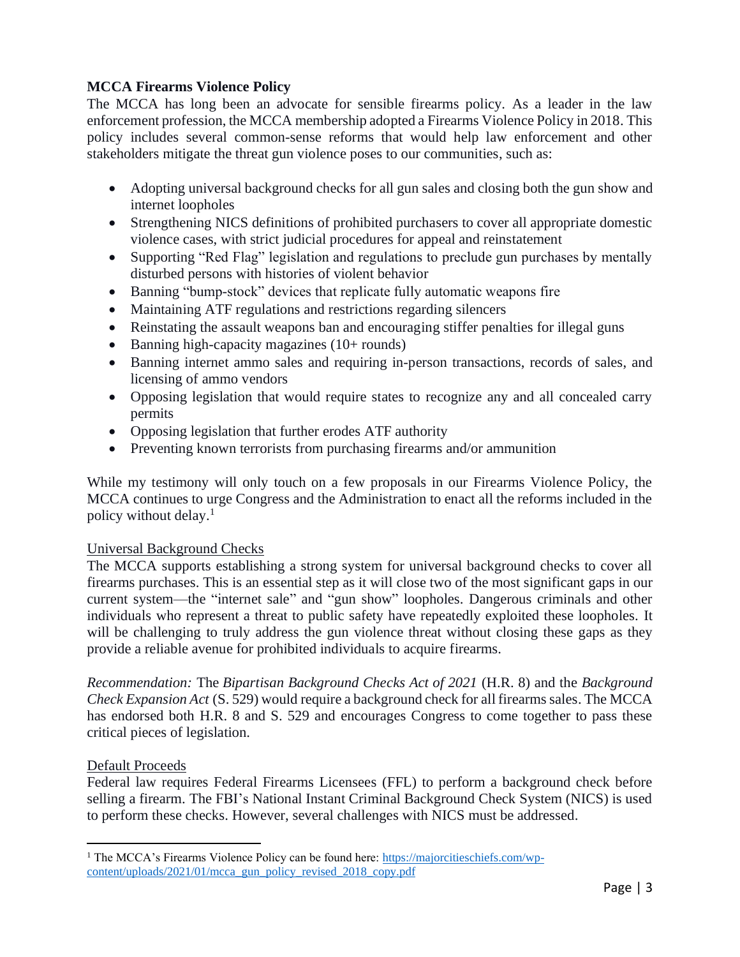# **MCCA Firearms Violence Policy**

The MCCA has long been an advocate for sensible firearms policy. As a leader in the law enforcement profession, the MCCA membership adopted a Firearms Violence Policy in 2018. This policy includes several common-sense reforms that would help law enforcement and other stakeholders mitigate the threat gun violence poses to our communities, such as:

- Adopting universal background checks for all gun sales and closing both the gun show and internet loopholes
- Strengthening NICS definitions of prohibited purchasers to cover all appropriate domestic violence cases, with strict judicial procedures for appeal and reinstatement
- Supporting "Red Flag" legislation and regulations to preclude gun purchases by mentally disturbed persons with histories of violent behavior
- Banning "bump-stock" devices that replicate fully automatic weapons fire
- Maintaining ATF regulations and restrictions regarding silencers
- Reinstating the assault weapons ban and encouraging stiffer penalties for illegal guns
- Banning high-capacity magazines (10+ rounds)
- Banning internet ammo sales and requiring in-person transactions, records of sales, and licensing of ammo vendors
- Opposing legislation that would require states to recognize any and all concealed carry permits
- Opposing legislation that further erodes ATF authority
- Preventing known terrorists from purchasing firearms and/or ammunition

While my testimony will only touch on a few proposals in our Firearms Violence Policy, the MCCA continues to urge Congress and the Administration to enact all the reforms included in the policy without delay. 1

# Universal Background Checks

The MCCA supports establishing a strong system for universal background checks to cover all firearms purchases. This is an essential step as it will close two of the most significant gaps in our current system—the "internet sale" and "gun show" loopholes. Dangerous criminals and other individuals who represent a threat to public safety have repeatedly exploited these loopholes. It will be challenging to truly address the gun violence threat without closing these gaps as they provide a reliable avenue for prohibited individuals to acquire firearms.

*Recommendation:* The *Bipartisan Background Checks Act of 2021* (H.R. 8) and the *Background Check Expansion Act* (S. 529) would require a background check for all firearms sales. The MCCA has endorsed both H.R. 8 and S. 529 and encourages Congress to come together to pass these critical pieces of legislation.

# Default Proceeds

Federal law requires Federal Firearms Licensees (FFL) to perform a background check before selling a firearm. The FBI's National Instant Criminal Background Check System (NICS) is used to perform these checks. However, several challenges with NICS must be addressed.

<sup>1</sup> The MCCA's Firearms Violence Policy can be found here: [https://majorcitieschiefs.com/wp](https://majorcitieschiefs.com/wp-content/uploads/2021/01/mcca_gun_policy_revised_2018_copy.pdf)[content/uploads/2021/01/mcca\\_gun\\_policy\\_revised\\_2018\\_copy.pdf](https://majorcitieschiefs.com/wp-content/uploads/2021/01/mcca_gun_policy_revised_2018_copy.pdf)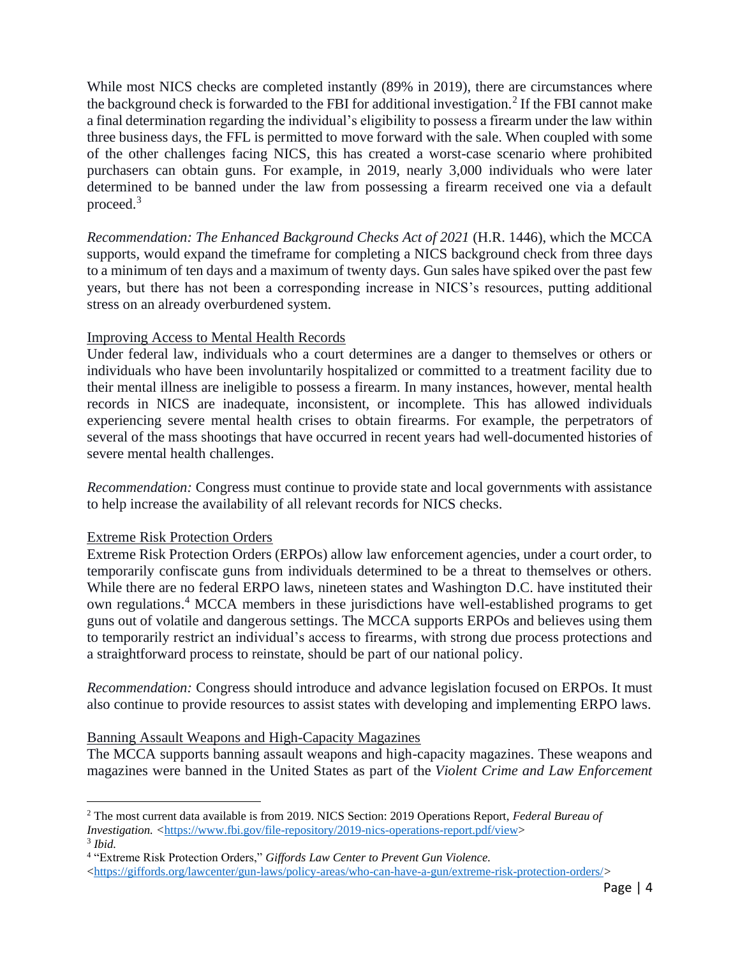While most NICS checks are completed instantly (89% in 2019), there are circumstances where the background check is forwarded to the FBI for additional investigation.<sup>2</sup> If the FBI cannot make a final determination regarding the individual's eligibility to possess a firearm under the law within three business days, the FFL is permitted to move forward with the sale. When coupled with some of the other challenges facing NICS, this has created a worst-case scenario where prohibited purchasers can obtain guns. For example, in 2019, nearly 3,000 individuals who were later determined to be banned under the law from possessing a firearm received one via a default proceed.<sup>3</sup>

*Recommendation: The Enhanced Background Checks Act of 2021* (H.R. 1446), which the MCCA supports, would expand the timeframe for completing a NICS background check from three days to a minimum of ten days and a maximum of twenty days. Gun sales have spiked over the past few years, but there has not been a corresponding increase in NICS's resources, putting additional stress on an already overburdened system.

## Improving Access to Mental Health Records

Under federal law, individuals who a court determines are a danger to themselves or others or individuals who have been involuntarily hospitalized or committed to a treatment facility due to their mental illness are ineligible to possess a firearm. In many instances, however, mental health records in NICS are inadequate, inconsistent, or incomplete. This has allowed individuals experiencing severe mental health crises to obtain firearms. For example, the perpetrators of several of the mass shootings that have occurred in recent years had well-documented histories of severe mental health challenges.

*Recommendation:* Congress must continue to provide state and local governments with assistance to help increase the availability of all relevant records for NICS checks.

#### Extreme Risk Protection Orders

Extreme Risk Protection Orders (ERPOs) allow law enforcement agencies, under a court order, to temporarily confiscate guns from individuals determined to be a threat to themselves or others. While there are no federal ERPO laws, nineteen states and Washington D.C. have instituted their own regulations. <sup>4</sup> MCCA members in these jurisdictions have well-established programs to get guns out of volatile and dangerous settings. The MCCA supports ERPOs and believes using them to temporarily restrict an individual's access to firearms, with strong due process protections and a straightforward process to reinstate, should be part of our national policy.

*Recommendation:* Congress should introduce and advance legislation focused on ERPOs. It must also continue to provide resources to assist states with developing and implementing ERPO laws.

#### Banning Assault Weapons and High-Capacity Magazines

The MCCA supports banning assault weapons and high-capacity magazines. These weapons and magazines were banned in the United States as part of the *Violent Crime and Law Enforcement* 

<sup>2</sup> The most current data available is from 2019. NICS Section: 2019 Operations Report, *Federal Bureau of Investigation. <*[https://www.fbi.gov/file-repository/2019-nics-operations-report.pdf/view>](https://www.fbi.gov/file-repository/2019-nics-operations-report.pdf/view)

<sup>3</sup> *Ibid.*

<sup>4</sup> "Extreme Risk Protection Orders," *Giffords Law Center to Prevent Gun Violence.* 

[<sup>&</sup>lt;https://giffords.org/lawcenter/gun-laws/policy-areas/who-can-have-a-gun/extreme-risk-protection-orders/](https://giffords.org/lawcenter/gun-laws/policy-areas/who-can-have-a-gun/extreme-risk-protection-orders/)*>*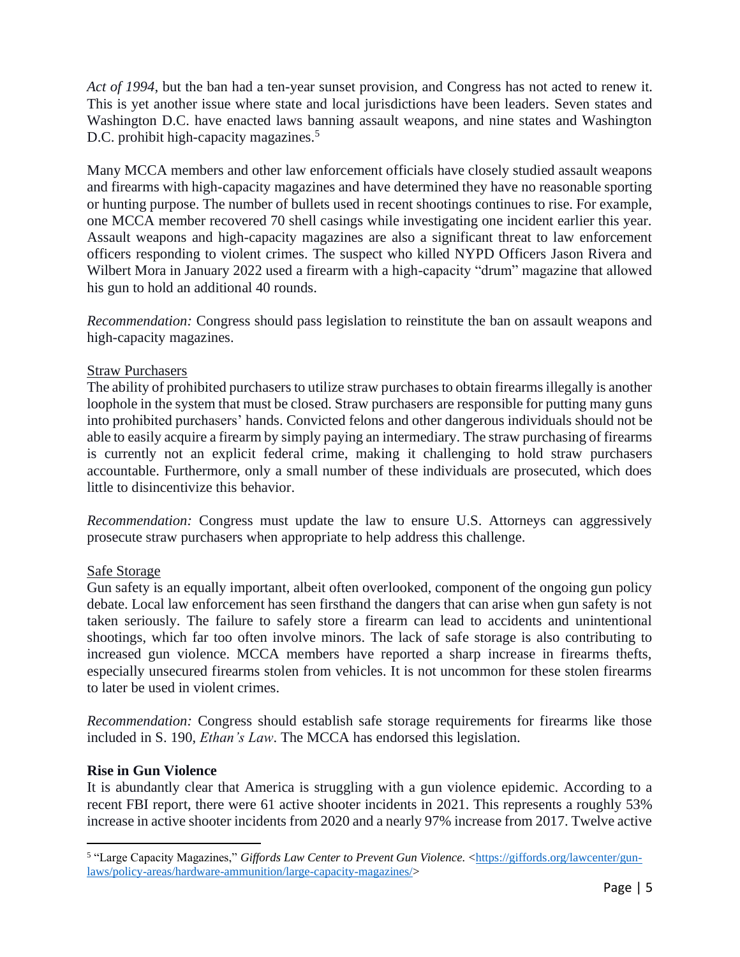*Act of 1994*, but the ban had a ten-year sunset provision, and Congress has not acted to renew it. This is yet another issue where state and local jurisdictions have been leaders. Seven states and Washington D.C. have enacted laws banning assault weapons, and nine states and Washington D.C. prohibit high-capacity magazines.<sup>5</sup>

Many MCCA members and other law enforcement officials have closely studied assault weapons and firearms with high-capacity magazines and have determined they have no reasonable sporting or hunting purpose. The number of bullets used in recent shootings continues to rise. For example, one MCCA member recovered 70 shell casings while investigating one incident earlier this year. Assault weapons and high-capacity magazines are also a significant threat to law enforcement officers responding to violent crimes. The suspect who killed NYPD Officers Jason Rivera and Wilbert Mora in January 2022 used a firearm with a high-capacity "drum" magazine that allowed his gun to hold an additional 40 rounds.

*Recommendation:* Congress should pass legislation to reinstitute the ban on assault weapons and high-capacity magazines.

## Straw Purchasers

The ability of prohibited purchasers to utilize straw purchases to obtain firearms illegally is another loophole in the system that must be closed. Straw purchasers are responsible for putting many guns into prohibited purchasers' hands. Convicted felons and other dangerous individuals should not be able to easily acquire a firearm by simply paying an intermediary. The straw purchasing of firearms is currently not an explicit federal crime, making it challenging to hold straw purchasers accountable. Furthermore, only a small number of these individuals are prosecuted, which does little to disincentivize this behavior.

*Recommendation:* Congress must update the law to ensure U.S. Attorneys can aggressively prosecute straw purchasers when appropriate to help address this challenge.

# Safe Storage

Gun safety is an equally important, albeit often overlooked, component of the ongoing gun policy debate. Local law enforcement has seen firsthand the dangers that can arise when gun safety is not taken seriously. The failure to safely store a firearm can lead to accidents and unintentional shootings, which far too often involve minors. The lack of safe storage is also contributing to increased gun violence. MCCA members have reported a sharp increase in firearms thefts, especially unsecured firearms stolen from vehicles. It is not uncommon for these stolen firearms to later be used in violent crimes.

*Recommendation:* Congress should establish safe storage requirements for firearms like those included in S. 190, *Ethan's Law*. The MCCA has endorsed this legislation.

# **Rise in Gun Violence**

It is abundantly clear that America is struggling with a gun violence epidemic. According to a recent FBI report, there were 61 active shooter incidents in 2021. This represents a roughly 53% increase in active shooter incidents from 2020 and a nearly 97% increase from 2017. Twelve active

<sup>&</sup>lt;sup>5</sup> "Large Capacity Magazines," *Giffords Law Center to Prevent Gun Violence*. [<https://giffords.org/lawcenter/gun](https://giffords.org/lawcenter/gun-laws/policy-areas/hardware-ammunition/large-capacity-magazines/)[laws/policy-areas/hardware-ammunition/large-capacity-magazines/>](https://giffords.org/lawcenter/gun-laws/policy-areas/hardware-ammunition/large-capacity-magazines/)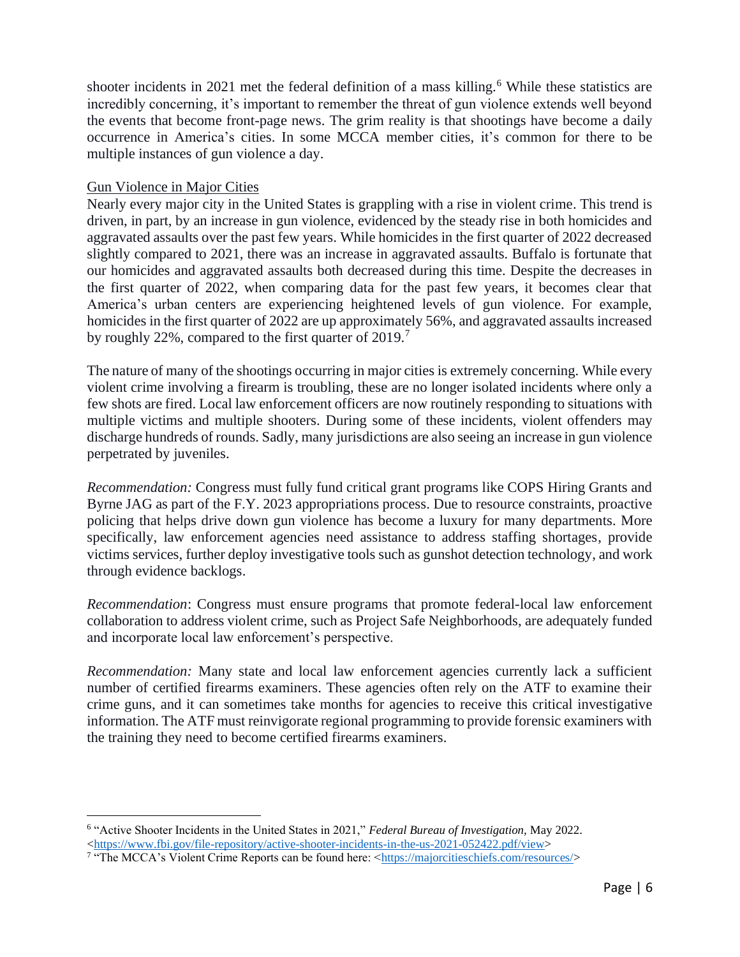shooter incidents in 2021 met the federal definition of a mass killing.<sup>6</sup> While these statistics are incredibly concerning, it's important to remember the threat of gun violence extends well beyond the events that become front-page news. The grim reality is that shootings have become a daily occurrence in America's cities. In some MCCA member cities, it's common for there to be multiple instances of gun violence a day.

#### Gun Violence in Major Cities

Nearly every major city in the United States is grappling with a rise in violent crime. This trend is driven, in part, by an increase in gun violence, evidenced by the steady rise in both homicides and aggravated assaults over the past few years. While homicides in the first quarter of 2022 decreased slightly compared to 2021, there was an increase in aggravated assaults. Buffalo is fortunate that our homicides and aggravated assaults both decreased during this time. Despite the decreases in the first quarter of 2022, when comparing data for the past few years, it becomes clear that America's urban centers are experiencing heightened levels of gun violence. For example, homicides in the first quarter of 2022 are up approximately 56%, and aggravated assaults increased by roughly 22%, compared to the first quarter of 2019.<sup>7</sup>

The nature of many of the shootings occurring in major cities is extremely concerning. While every violent crime involving a firearm is troubling, these are no longer isolated incidents where only a few shots are fired. Local law enforcement officers are now routinely responding to situations with multiple victims and multiple shooters. During some of these incidents, violent offenders may discharge hundreds of rounds. Sadly, many jurisdictions are also seeing an increase in gun violence perpetrated by juveniles.

*Recommendation:* Congress must fully fund critical grant programs like COPS Hiring Grants and Byrne JAG as part of the F.Y. 2023 appropriations process. Due to resource constraints, proactive policing that helps drive down gun violence has become a luxury for many departments. More specifically, law enforcement agencies need assistance to address staffing shortages, provide victims services, further deploy investigative tools such as gunshot detection technology, and work through evidence backlogs.

*Recommendation*: Congress must ensure programs that promote federal-local law enforcement collaboration to address violent crime, such as Project Safe Neighborhoods, are adequately funded and incorporate local law enforcement's perspective.

*Recommendation:* Many state and local law enforcement agencies currently lack a sufficient number of certified firearms examiners. These agencies often rely on the ATF to examine their crime guns, and it can sometimes take months for agencies to receive this critical investigative information. The ATF must reinvigorate regional programming to provide forensic examiners with the training they need to become certified firearms examiners.

<sup>6</sup> "Active Shooter Incidents in the United States in 2021," *Federal Bureau of Investigation,* May 2022. [<https://www.fbi.gov/file-repository/active-shooter-incidents-in-the-us-2021-052422.pdf/view>](https://www.fbi.gov/file-repository/active-shooter-incidents-in-the-us-2021-052422.pdf/view)

<sup>&</sup>lt;sup>7</sup> "The MCCA's Violent Crime Reports can be found here: [<https://majorcitieschiefs.com/resources/>](https://majorcitieschiefs.com/resources/)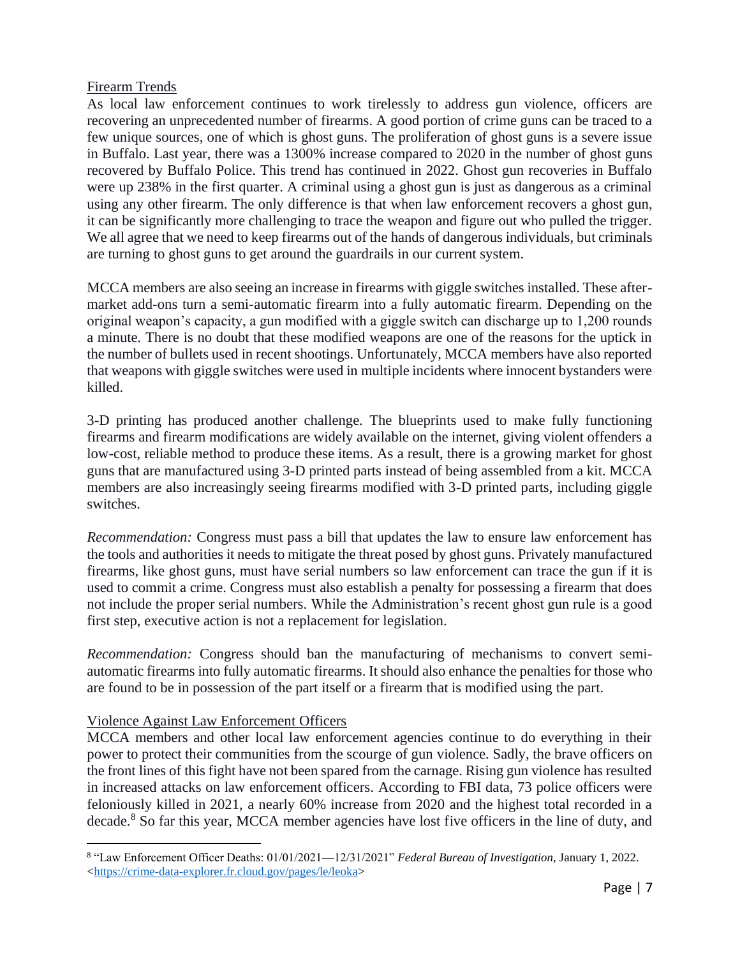## Firearm Trends

As local law enforcement continues to work tirelessly to address gun violence, officers are recovering an unprecedented number of firearms. A good portion of crime guns can be traced to a few unique sources, one of which is ghost guns. The proliferation of ghost guns is a severe issue in Buffalo. Last year, there was a 1300% increase compared to 2020 in the number of ghost guns recovered by Buffalo Police. This trend has continued in 2022. Ghost gun recoveries in Buffalo were up 238% in the first quarter. A criminal using a ghost gun is just as dangerous as a criminal using any other firearm. The only difference is that when law enforcement recovers a ghost gun, it can be significantly more challenging to trace the weapon and figure out who pulled the trigger. We all agree that we need to keep firearms out of the hands of dangerous individuals, but criminals are turning to ghost guns to get around the guardrails in our current system.

MCCA members are also seeing an increase in firearms with giggle switches installed. These aftermarket add-ons turn a semi-automatic firearm into a fully automatic firearm. Depending on the original weapon's capacity, a gun modified with a giggle switch can discharge up to 1,200 rounds a minute. There is no doubt that these modified weapons are one of the reasons for the uptick in the number of bullets used in recent shootings. Unfortunately, MCCA members have also reported that weapons with giggle switches were used in multiple incidents where innocent bystanders were killed.

3-D printing has produced another challenge. The blueprints used to make fully functioning firearms and firearm modifications are widely available on the internet, giving violent offenders a low-cost, reliable method to produce these items. As a result, there is a growing market for ghost guns that are manufactured using 3-D printed parts instead of being assembled from a kit. MCCA members are also increasingly seeing firearms modified with 3-D printed parts, including giggle switches.

*Recommendation:* Congress must pass a bill that updates the law to ensure law enforcement has the tools and authorities it needs to mitigate the threat posed by ghost guns. Privately manufactured firearms, like ghost guns, must have serial numbers so law enforcement can trace the gun if it is used to commit a crime. Congress must also establish a penalty for possessing a firearm that does not include the proper serial numbers. While the Administration's recent ghost gun rule is a good first step, executive action is not a replacement for legislation.

*Recommendation:* Congress should ban the manufacturing of mechanisms to convert semiautomatic firearms into fully automatic firearms. It should also enhance the penalties for those who are found to be in possession of the part itself or a firearm that is modified using the part.

# Violence Against Law Enforcement Officers

MCCA members and other local law enforcement agencies continue to do everything in their power to protect their communities from the scourge of gun violence. Sadly, the brave officers on the front lines of this fight have not been spared from the carnage. Rising gun violence has resulted in increased attacks on law enforcement officers. According to FBI data, 73 police officers were feloniously killed in 2021, a nearly 60% increase from 2020 and the highest total recorded in a decade.<sup>8</sup> So far this year, MCCA member agencies have lost five officers in the line of duty, and

<sup>8</sup> "Law Enforcement Officer Deaths: 01/01/2021—12/31/2021" *Federal Bureau of Investigation,* January 1, 2022. [<https://crime-data-explorer.fr.cloud.gov/pages/le/leoka>](https://crime-data-explorer.fr.cloud.gov/pages/le/leoka)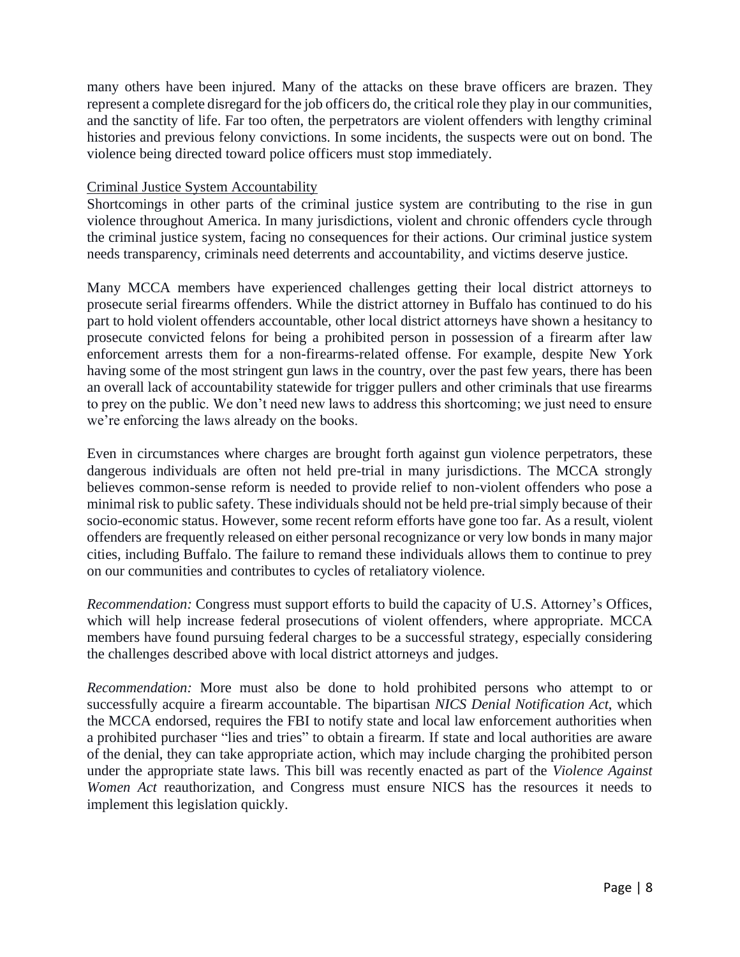many others have been injured. Many of the attacks on these brave officers are brazen. They represent a complete disregard for the job officers do, the critical role they play in our communities, and the sanctity of life. Far too often, the perpetrators are violent offenders with lengthy criminal histories and previous felony convictions. In some incidents, the suspects were out on bond. The violence being directed toward police officers must stop immediately.

#### Criminal Justice System Accountability

Shortcomings in other parts of the criminal justice system are contributing to the rise in gun violence throughout America. In many jurisdictions, violent and chronic offenders cycle through the criminal justice system, facing no consequences for their actions. Our criminal justice system needs transparency, criminals need deterrents and accountability, and victims deserve justice.

Many MCCA members have experienced challenges getting their local district attorneys to prosecute serial firearms offenders. While the district attorney in Buffalo has continued to do his part to hold violent offenders accountable, other local district attorneys have shown a hesitancy to prosecute convicted felons for being a prohibited person in possession of a firearm after law enforcement arrests them for a non-firearms-related offense. For example, despite New York having some of the most stringent gun laws in the country, over the past few years, there has been an overall lack of accountability statewide for trigger pullers and other criminals that use firearms to prey on the public. We don't need new laws to address this shortcoming; we just need to ensure we're enforcing the laws already on the books.

Even in circumstances where charges are brought forth against gun violence perpetrators, these dangerous individuals are often not held pre-trial in many jurisdictions. The MCCA strongly believes common-sense reform is needed to provide relief to non-violent offenders who pose a minimal risk to public safety. These individuals should not be held pre-trial simply because of their socio-economic status. However, some recent reform efforts have gone too far. As a result, violent offenders are frequently released on either personal recognizance or very low bonds in many major cities, including Buffalo. The failure to remand these individuals allows them to continue to prey on our communities and contributes to cycles of retaliatory violence.

*Recommendation:* Congress must support efforts to build the capacity of U.S. Attorney's Offices, which will help increase federal prosecutions of violent offenders, where appropriate. MCCA members have found pursuing federal charges to be a successful strategy, especially considering the challenges described above with local district attorneys and judges.

*Recommendation:* More must also be done to hold prohibited persons who attempt to or successfully acquire a firearm accountable. The bipartisan *NICS Denial Notification Act*, which the MCCA endorsed, requires the FBI to notify state and local law enforcement authorities when a prohibited purchaser "lies and tries" to obtain a firearm. If state and local authorities are aware of the denial, they can take appropriate action, which may include charging the prohibited person under the appropriate state laws. This bill was recently enacted as part of the *Violence Against Women Act* reauthorization, and Congress must ensure NICS has the resources it needs to implement this legislation quickly.